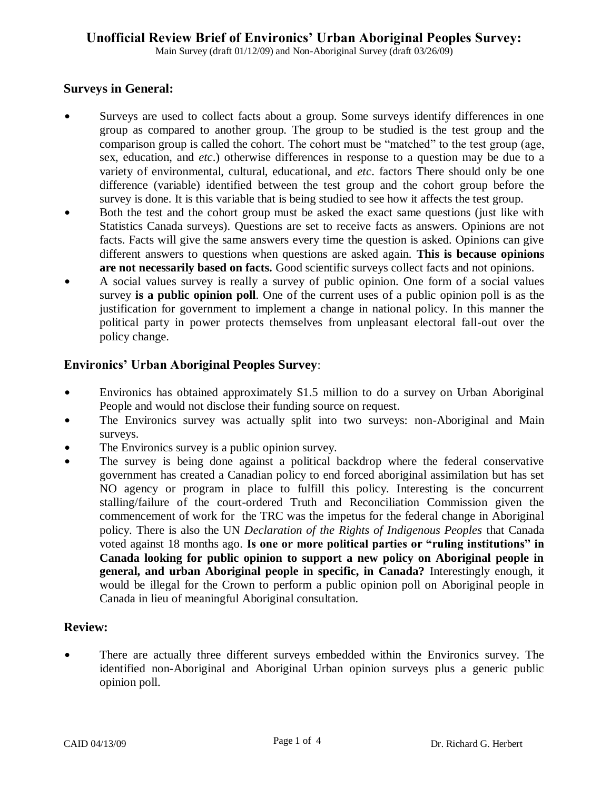Main Survey (draft 01/12/09) and Non-Aboriginal Survey (draft 03/26/09)

# **Surveys in General:**

- Surveys are used to collect facts about a group. Some surveys identify differences in one group as compared to another group. The group to be studied is the test group and the comparison group is called the cohort. The cohort must be "matched" to the test group (age, sex, education, and *etc*.) otherwise differences in response to a question may be due to a variety of environmental, cultural, educational, and *etc*. factors There should only be one difference (variable) identified between the test group and the cohort group before the survey is done. It is this variable that is being studied to see how it affects the test group.
- Both the test and the cohort group must be asked the exact same questions (just like with Statistics Canada surveys). Questions are set to receive facts as answers. Opinions are not facts. Facts will give the same answers every time the question is asked. Opinions can give different answers to questions when questions are asked again. **This is because opinions are not necessarily based on facts.** Good scientific surveys collect facts and not opinions.
- A social values survey is really a survey of public opinion. One form of a social values survey **is a public opinion poll**. One of the current uses of a public opinion poll is as the justification for government to implement a change in national policy. In this manner the political party in power protects themselves from unpleasant electoral fall-out over the policy change.

# **Environics' Urban Aboriginal Peoples Survey**:

- Environics has obtained approximately \$1.5 million to do a survey on Urban Aboriginal People and would not disclose their funding source on request.
- The Environics survey was actually split into two surveys: non-Aboriginal and Main surveys.
- The Environics survey is a public opinion survey.
- The survey is being done against a political backdrop where the federal conservative government has created a Canadian policy to end forced aboriginal assimilation but has set NO agency or program in place to fulfill this policy. Interesting is the concurrent stalling/failure of the court-ordered Truth and Reconciliation Commission given the commencement of work for the TRC was the impetus for the federal change in Aboriginal policy. There is also the UN *Declaration of the Rights of Indigenous Peoples* that Canada voted against 18 months ago. **Is one or more political parties or "ruling institutions" in Canada looking for public opinion to support a new policy on Aboriginal people in general, and urban Aboriginal people in specific, in Canada?** Interestingly enough, it would be illegal for the Crown to perform a public opinion poll on Aboriginal people in Canada in lieu of meaningful Aboriginal consultation.

# **Review:**

There are actually three different surveys embedded within the Environics survey. The identified non-Aboriginal and Aboriginal Urban opinion surveys plus a generic public opinion poll.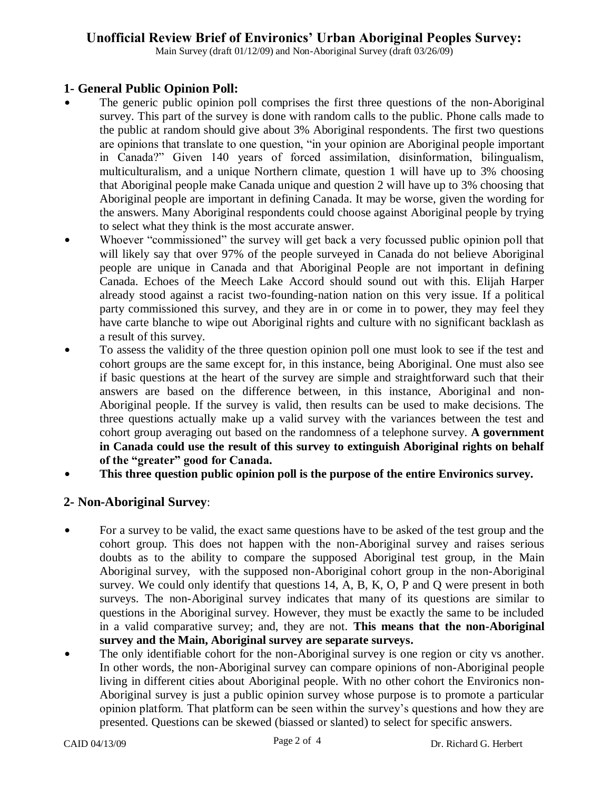# **Unofficial Review Brief of Environics' Urban Aboriginal Peoples Survey:**

Main Survey (draft 01/12/09) and Non-Aboriginal Survey (draft 03/26/09)

# **1- General Public Opinion Poll:**

- The generic public opinion poll comprises the first three questions of the non-Aboriginal survey. This part of the survey is done with random calls to the public. Phone calls made to the public at random should give about 3% Aboriginal respondents. The first two questions are opinions that translate to one question, "in your opinion are Aboriginal people important in Canada?" Given 140 years of forced assimilation, disinformation, bilingualism, multiculturalism, and a unique Northern climate, question 1 will have up to 3% choosing that Aboriginal people make Canada unique and question 2 will have up to 3% choosing that Aboriginal people are important in defining Canada. It may be worse, given the wording for the answers. Many Aboriginal respondents could choose against Aboriginal people by trying to select what they think is the most accurate answer.
- Whoever "commissioned" the survey will get back a very focussed public opinion poll that will likely say that over 97% of the people surveyed in Canada do not believe Aboriginal people are unique in Canada and that Aboriginal People are not important in defining Canada. Echoes of the Meech Lake Accord should sound out with this. Elijah Harper already stood against a racist two-founding-nation nation on this very issue. If a political party commissioned this survey, and they are in or come in to power, they may feel they have carte blanche to wipe out Aboriginal rights and culture with no significant backlash as a result of this survey.
- To assess the validity of the three question opinion poll one must look to see if the test and cohort groups are the same except for, in this instance, being Aboriginal. One must also see if basic questions at the heart of the survey are simple and straightforward such that their answers are based on the difference between, in this instance, Aboriginal and non-Aboriginal people. If the survey is valid, then results can be used to make decisions. The three questions actually make up a valid survey with the variances between the test and cohort group averaging out based on the randomness of a telephone survey. **A government in Canada could use the result of this survey to extinguish Aboriginal rights on behalf of the "greater" good for Canada.**
- \$ **This three question public opinion poll is the purpose of the entire Environics survey.**

# **2- Non-Aboriginal Survey**:

- For a survey to be valid, the exact same questions have to be asked of the test group and the cohort group. This does not happen with the non-Aboriginal survey and raises serious doubts as to the ability to compare the supposed Aboriginal test group, in the Main Aboriginal survey, with the supposed non-Aboriginal cohort group in the non-Aboriginal survey. We could only identify that questions 14, A, B, K, O, P and Q were present in both surveys. The non-Aboriginal survey indicates that many of its questions are similar to questions in the Aboriginal survey. However, they must be exactly the same to be included in a valid comparative survey; and, they are not. **This means that the non-Aboriginal survey and the Main, Aboriginal survey are separate surveys.**
- The only identifiable cohort for the non-Aboriginal survey is one region or city vs another. In other words, the non-Aboriginal survey can compare opinions of non-Aboriginal people living in different cities about Aboriginal people. With no other cohort the Environics non-Aboriginal survey is just a public opinion survey whose purpose is to promote a particular opinion platform. That platform can be seen within the survey's questions and how they are presented. Questions can be skewed (biassed or slanted) to select for specific answers.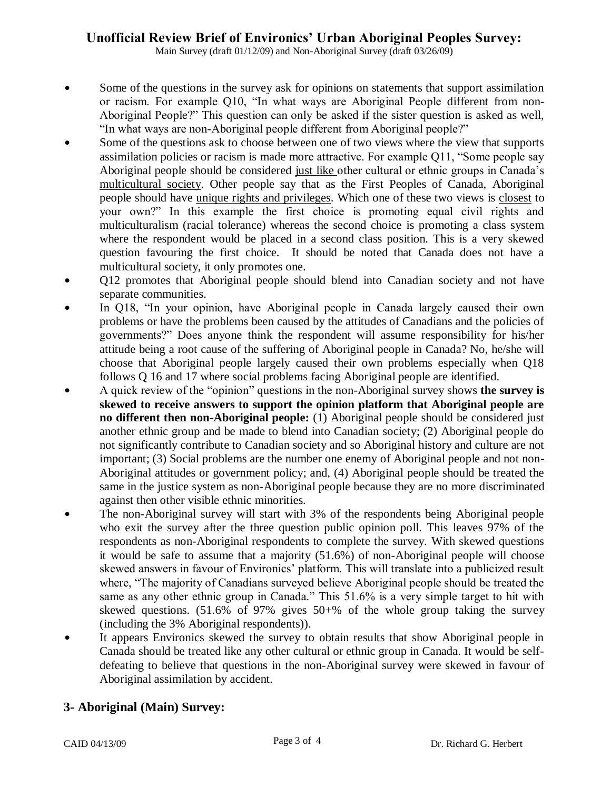# **Unofficial Review Brief of Environics' Urban Aboriginal Peoples Survey:**

Main Survey (draft 01/12/09) and Non-Aboriginal Survey (draft 03/26/09)

- Some of the questions in the survey ask for opinions on statements that support assimilation or racism. For example Q10, "In what ways are Aboriginal People different from non-Aboriginal People?" This question can only be asked if the sister question is asked as well, "In what ways are non-Aboriginal people different from Aboriginal people?"
- Some of the questions ask to choose between one of two views where the view that supports assimilation policies or racism is made more attractive. For example Q11, "Some people say Aboriginal people should be considered just like other cultural or ethnic groups in Canada's multicultural society. Other people say that as the First Peoples of Canada, Aboriginal people should have unique rights and privileges. Which one of these two views is closest to your own?" In this example the first choice is promoting equal civil rights and multiculturalism (racial tolerance) whereas the second choice is promoting a class system where the respondent would be placed in a second class position. This is a very skewed question favouring the first choice. It should be noted that Canada does not have a multicultural society, it only promotes one.
- O12 promotes that Aboriginal people should blend into Canadian society and not have separate communities.
- In Q18, "In your opinion, have Aboriginal people in Canada largely caused their own problems or have the problems been caused by the attitudes of Canadians and the policies of governments?" Does anyone think the respondent will assume responsibility for his/her attitude being a root cause of the suffering of Aboriginal people in Canada? No, he/she will choose that Aboriginal people largely caused their own problems especially when Q18 follows Q 16 and 17 where social problems facing Aboriginal people are identified.
- \$ A quick review of the "opinion" questions in the non-Aboriginal survey shows **the survey is skewed to receive answers to support the opinion platform that Aboriginal people are no different then non-Aboriginal people:** (1) Aboriginal people should be considered just another ethnic group and be made to blend into Canadian society; (2) Aboriginal people do not significantly contribute to Canadian society and so Aboriginal history and culture are not important; (3) Social problems are the number one enemy of Aboriginal people and not non-Aboriginal attitudes or government policy; and, (4) Aboriginal people should be treated the same in the justice system as non-Aboriginal people because they are no more discriminated against then other visible ethnic minorities.
- The non-Aboriginal survey will start with 3% of the respondents being Aboriginal people who exit the survey after the three question public opinion poll. This leaves 97% of the respondents as non-Aboriginal respondents to complete the survey. With skewed questions it would be safe to assume that a majority (51.6%) of non-Aboriginal people will choose skewed answers in favour of Environics' platform. This will translate into a publicized result where, "The majority of Canadians surveyed believe Aboriginal people should be treated the same as any other ethnic group in Canada." This 51.6% is a very simple target to hit with skewed questions. (51.6% of 97% gives 50+% of the whole group taking the survey (including the 3% Aboriginal respondents)).
- It appears Environics skewed the survey to obtain results that show Aboriginal people in Canada should be treated like any other cultural or ethnic group in Canada. It would be selfdefeating to believe that questions in the non-Aboriginal survey were skewed in favour of Aboriginal assimilation by accident.

# **3- Aboriginal (Main) Survey:**